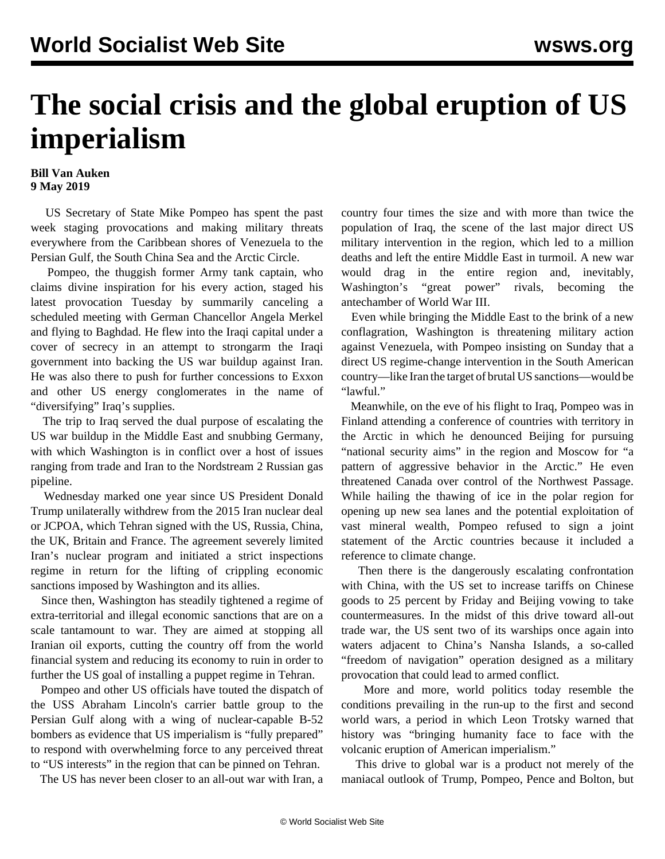## **The social crisis and the global eruption of US imperialism**

## **Bill Van Auken 9 May 2019**

 US Secretary of State Mike Pompeo has spent the past week staging provocations and making military threats everywhere from the Caribbean shores of Venezuela to the Persian Gulf, the South China Sea and the Arctic Circle.

 Pompeo, the thuggish former Army tank captain, who claims divine inspiration for his every action, staged his latest provocation Tuesday by summarily canceling a scheduled meeting with German Chancellor Angela Merkel and flying to Baghdad. He flew into the Iraqi capital under a cover of secrecy in an attempt to strongarm the Iraqi government into backing the US war buildup against Iran. He was also there to push for further concessions to Exxon and other US energy conglomerates in the name of "diversifying" Iraq's supplies.

 The trip to Iraq served the dual purpose of escalating the US war buildup in the Middle East and snubbing Germany, with which Washington is in conflict over a host of issues ranging from trade and Iran to the Nordstream 2 Russian gas pipeline.

 Wednesday marked one year since US President Donald Trump unilaterally withdrew from the 2015 Iran nuclear deal or JCPOA, which Tehran signed with the US, Russia, China, the UK, Britain and France. The agreement severely limited Iran's nuclear program and initiated a strict inspections regime in return for the lifting of crippling economic sanctions imposed by Washington and its allies.

 Since then, Washington has steadily tightened a regime of extra-territorial and illegal economic sanctions that are on a scale tantamount to war. They are aimed at stopping all Iranian oil exports, cutting the country off from the world financial system and reducing its economy to ruin in order to further the US goal of installing a puppet regime in Tehran.

 Pompeo and other US officials have touted the dispatch of the USS Abraham Lincoln's carrier battle group to the Persian Gulf along with a wing of nuclear-capable B-52 bombers as evidence that US imperialism is "fully prepared" to respond with overwhelming force to any perceived threat to "US interests" in the region that can be pinned on Tehran.

The US has never been closer to an all-out war with Iran, a

country four times the size and with more than twice the population of Iraq, the scene of the last major direct US military intervention in the region, which led to a million deaths and left the entire Middle East in turmoil. A new war would drag in the entire region and, inevitably, Washington's "great power" rivals, becoming the antechamber of World War III.

 Even while bringing the Middle East to the brink of a new conflagration, Washington is threatening military action against Venezuela, with Pompeo insisting on Sunday that a direct US regime-change intervention in the South American country—like Iran the target of brutal US sanctions—would be "lawful."

 Meanwhile, on the eve of his flight to Iraq, Pompeo was in Finland attending a conference of countries with territory in the Arctic in which he denounced Beijing for pursuing "national security aims" in the region and Moscow for "a pattern of aggressive behavior in the Arctic." He even threatened Canada over control of the Northwest Passage. While hailing the thawing of ice in the polar region for opening up new sea lanes and the potential exploitation of vast mineral wealth, Pompeo refused to sign a joint statement of the Arctic countries because it included a reference to climate change.

 Then there is the dangerously escalating confrontation with China, with the US set to increase tariffs on Chinese goods to 25 percent by Friday and Beijing vowing to take countermeasures. In the midst of this drive toward all-out trade war, the US sent two of its warships once again into waters adjacent to China's Nansha Islands, a so-called "freedom of navigation" operation designed as a military provocation that could lead to armed conflict.

 More and more, world politics today resemble the conditions prevailing in the run-up to the first and second world wars, a period in which Leon Trotsky warned that history was "bringing humanity face to face with the volcanic eruption of American imperialism."

 This drive to global war is a product not merely of the maniacal outlook of Trump, Pompeo, Pence and Bolton, but